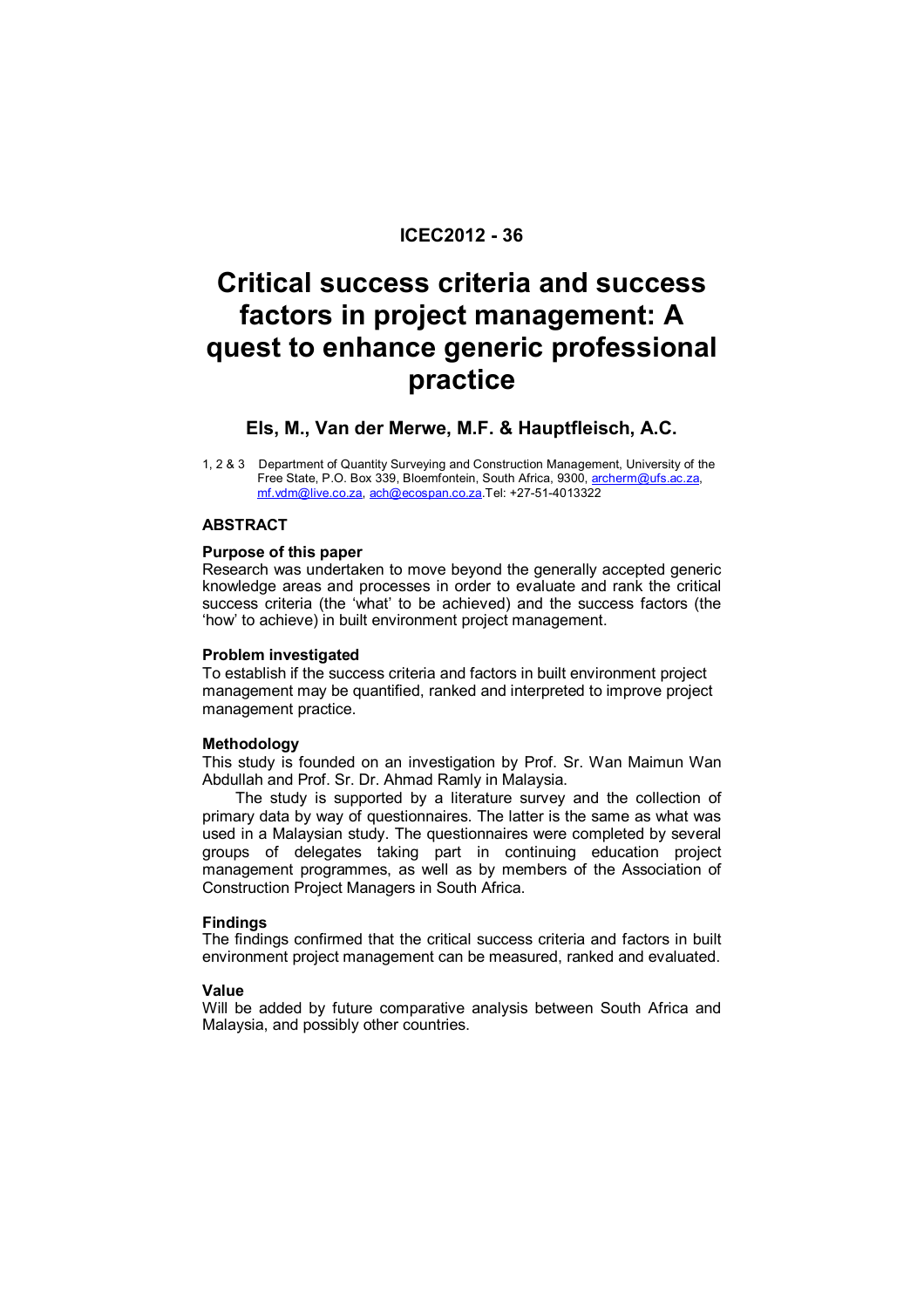# **ICEC2012 - 36**

# **Critical success criteria and success factors in project management: A quest to enhance generic professional practice**

# **Els, M., Van der Merwe, M.F. & Hauptfleisch, A.C.**

1, 2 & 3 Department of Quantity Surveying and Construction Management, University of the Free State, P.O. Box 339, Bloemfontein, South Africa, 9300, archerm@ufs.ac.za, mf.vdm@live.co.za, ach@ecospan.co.za.Tel: +27-51-4013322

# **ABSTRACT**

#### **Purpose of this paper**

Research was undertaken to move beyond the generally accepted generic knowledge areas and processes in order to evaluate and rank the critical success criteria (the 'what' to be achieved) and the success factors (the 'how' to achieve) in built environment project management.

#### **Problem investigated**

To establish if the success criteria and factors in built environment project management may be quantified, ranked and interpreted to improve project management practice.

#### **Methodology**

This study is founded on an investigation by Prof. Sr. Wan Maimun Wan Abdullah and Prof. Sr. Dr. Ahmad Ramly in Malaysia.

The study is supported by a literature survey and the collection of primary data by way of questionnaires. The latter is the same as what was used in a Malaysian study. The questionnaires were completed by several groups of delegates taking part in continuing education project management programmes, as well as by members of the Association of Construction Project Managers in South Africa.

#### **Findings**

The findings confirmed that the critical success criteria and factors in built environment project management can be measured, ranked and evaluated.

#### **Value**

Will be added by future comparative analysis between South Africa and Malaysia, and possibly other countries.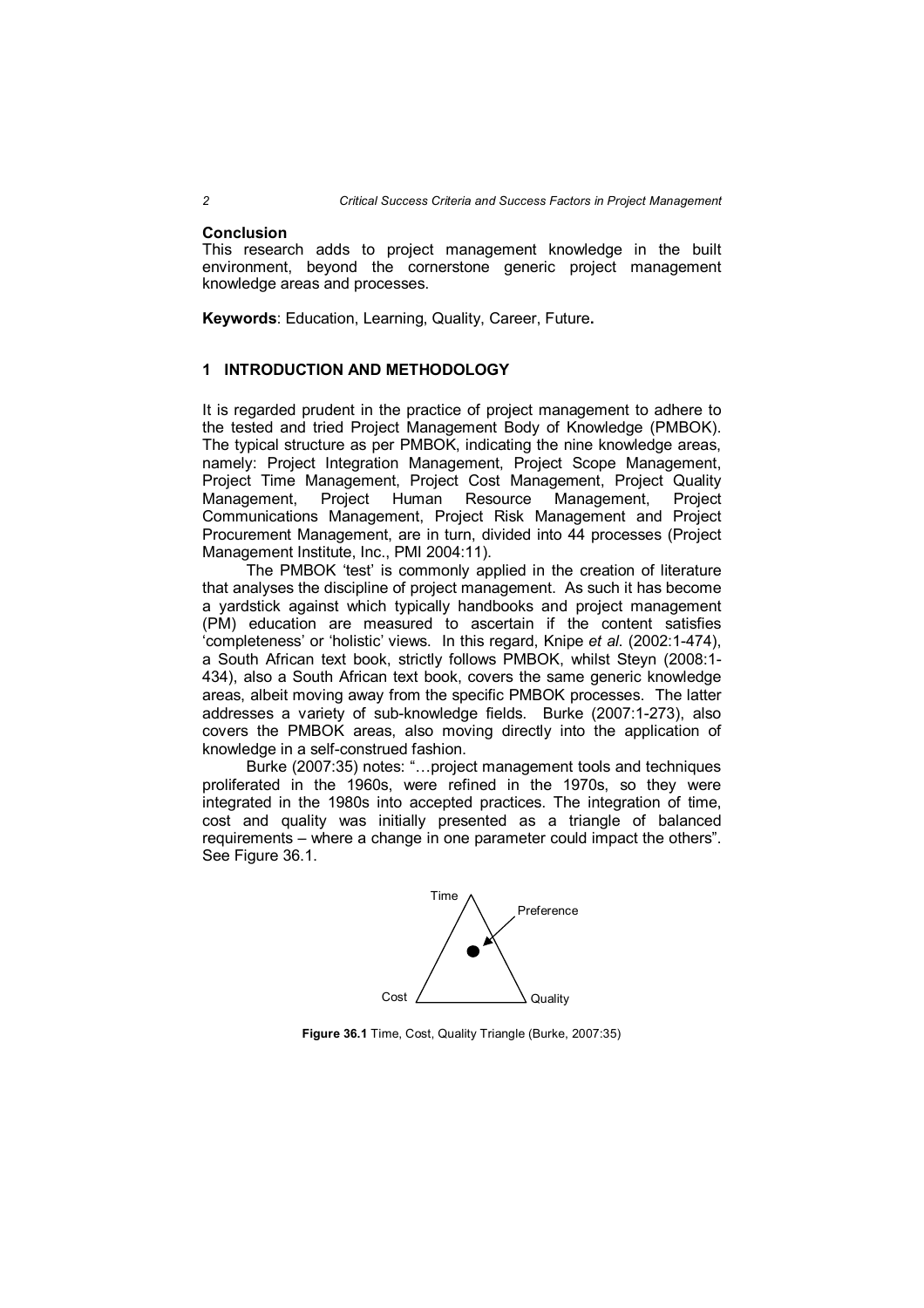#### **Conclusion**

This research adds to project management knowledge in the built environment, beyond the cornerstone generic project management knowledge areas and processes.

**Keywords**: Education, Learning, Quality, Career, Future**.**

### **1 INTRODUCTION AND METHODOLOGY**

It is regarded prudent in the practice of project management to adhere to the tested and tried Project Management Body of Knowledge (PMBOK). The typical structure as per PMBOK, indicating the nine knowledge areas, namely: Project Integration Management, Project Scope Management, Project Time Management, Project Cost Management, Project Quality Management, Project Human Resource Management, Project Communications Management, Project Risk Management and Project Procurement Management, are in turn, divided into 44 processes (Project Management Institute, Inc., PMI 2004:11).

The PMBOK 'test' is commonly applied in the creation of literature that analyses the discipline of project management. As such it has become a yardstick against which typically handbooks and project management (PM) education are measured to ascertain if the content satisfies 'completeness' or 'holistic' views. In this regard, Knipe *et al*. (2002:1-474), a South African text book, strictly follows PMBOK, whilst Steyn (2008:1- 434), also a South African text book, covers the same generic knowledge areas, albeit moving away from the specific PMBOK processes. The latter addresses a variety of sub-knowledge fields. Burke (2007:1-273), also covers the PMBOK areas, also moving directly into the application of knowledge in a self-construed fashion.

Burke (2007:35) notes: "…project management tools and techniques proliferated in the 1960s, were refined in the 1970s, so they were integrated in the 1980s into accepted practices. The integration of time, cost and quality was initially presented as a triangle of balanced requirements – where a change in one parameter could impact the others". See Figure 36.1.



**Figure 36.1** Time, Cost, Quality Triangle (Burke, 2007:35)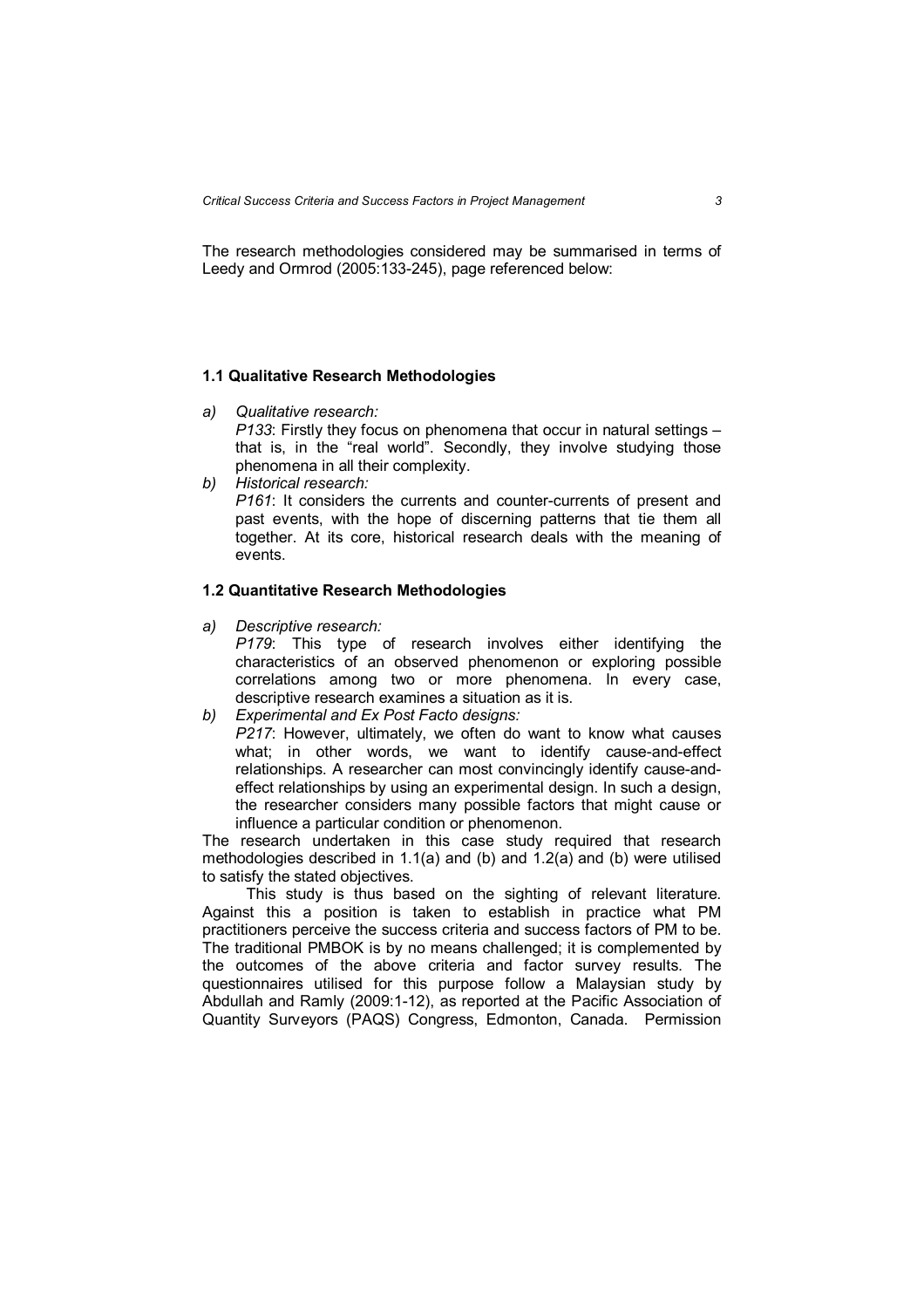*Critical Success Criteria and Success Factors in Project Management 3*

The research methodologies considered may be summarised in terms of Leedy and Ormrod (2005:133-245), page referenced below:

#### **1.1 Qualitative Research Methodologies**

- *a) Qualitative research: P133*: Firstly they focus on phenomena that occur in natural settings – that is, in the "real world". Secondly, they involve studying those phenomena in all their complexity.
- *b) Historical research: P161*: It considers the currents and counter-currents of present and past events, with the hope of discerning patterns that tie them all together. At its core, historical research deals with the meaning of events.

#### **1.2 Quantitative Research Methodologies**

*a) Descriptive research:*

*P179*: This type of research involves either identifying the characteristics of an observed phenomenon or exploring possible correlations among two or more phenomena. In every case, descriptive research examines a situation as it is.

*b) Experimental and Ex Post Facto designs: P217*: However, ultimately, we often do want to know what causes what; in other words, we want to identify cause-and-effect relationships. A researcher can most convincingly identify cause-andeffect relationships by using an experimental design. In such a design, the researcher considers many possible factors that might cause or influence a particular condition or phenomenon.

The research undertaken in this case study required that research methodologies described in 1.1(a) and (b) and 1.2(a) and (b) were utilised to satisfy the stated objectives.

This study is thus based on the sighting of relevant literature. Against this a position is taken to establish in practice what PM practitioners perceive the success criteria and success factors of PM to be. The traditional PMBOK is by no means challenged; it is complemented by the outcomes of the above criteria and factor survey results. The questionnaires utilised for this purpose follow a Malaysian study by Abdullah and Ramly (2009:1-12), as reported at the Pacific Association of Quantity Surveyors (PAQS) Congress, Edmonton, Canada. Permission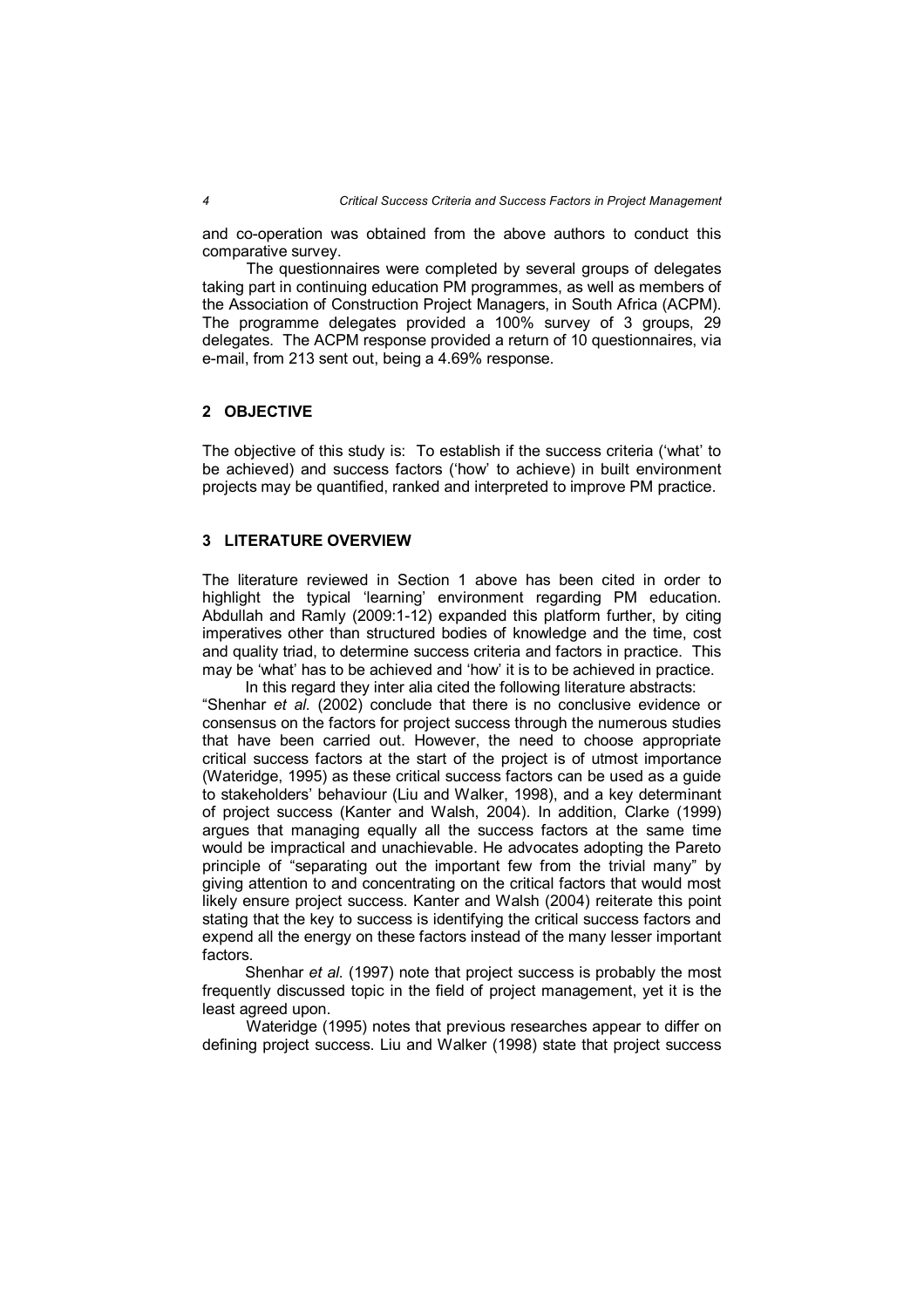and co-operation was obtained from the above authors to conduct this comparative survey.

The questionnaires were completed by several groups of delegates taking part in continuing education PM programmes, as well as members of the Association of Construction Project Managers, in South Africa (ACPM). The programme delegates provided a 100% survey of 3 groups, 29 delegates. The ACPM response provided a return of 10 questionnaires, via e-mail, from 213 sent out, being a 4.69% response.

# **2 OBJECTIVE**

The objective of this study is: To establish if the success criteria ('what' to be achieved) and success factors ('how' to achieve) in built environment projects may be quantified, ranked and interpreted to improve PM practice.

#### **3 LITERATURE OVERVIEW**

The literature reviewed in Section 1 above has been cited in order to highlight the typical 'learning' environment regarding PM education. Abdullah and Ramly (2009:1-12) expanded this platform further, by citing imperatives other than structured bodies of knowledge and the time, cost and quality triad, to determine success criteria and factors in practice. This may be 'what' has to be achieved and 'how' it is to be achieved in practice.

In this regard they inter alia cited the following literature abstracts: "Shenhar *et al.* (2002) conclude that there is no conclusive evidence or consensus on the factors for project success through the numerous studies that have been carried out. However, the need to choose appropriate critical success factors at the start of the project is of utmost importance (Wateridge, 1995) as these critical success factors can be used as a guide to stakeholders' behaviour (Liu and Walker, 1998), and a key determinant of project success (Kanter and Walsh, 2004). In addition, Clarke (1999) argues that managing equally all the success factors at the same time would be impractical and unachievable. He advocates adopting the Pareto principle of "separating out the important few from the trivial many" by giving attention to and concentrating on the critical factors that would most likely ensure project success. Kanter and Walsh (2004) reiterate this point stating that the key to success is identifying the critical success factors and expend all the energy on these factors instead of the many lesser important factors.

Shenhar *et al.* (1997) note that project success is probably the most frequently discussed topic in the field of project management, yet it is the least agreed upon.

Wateridge (1995) notes that previous researches appear to differ on defining project success. Liu and Walker (1998) state that project success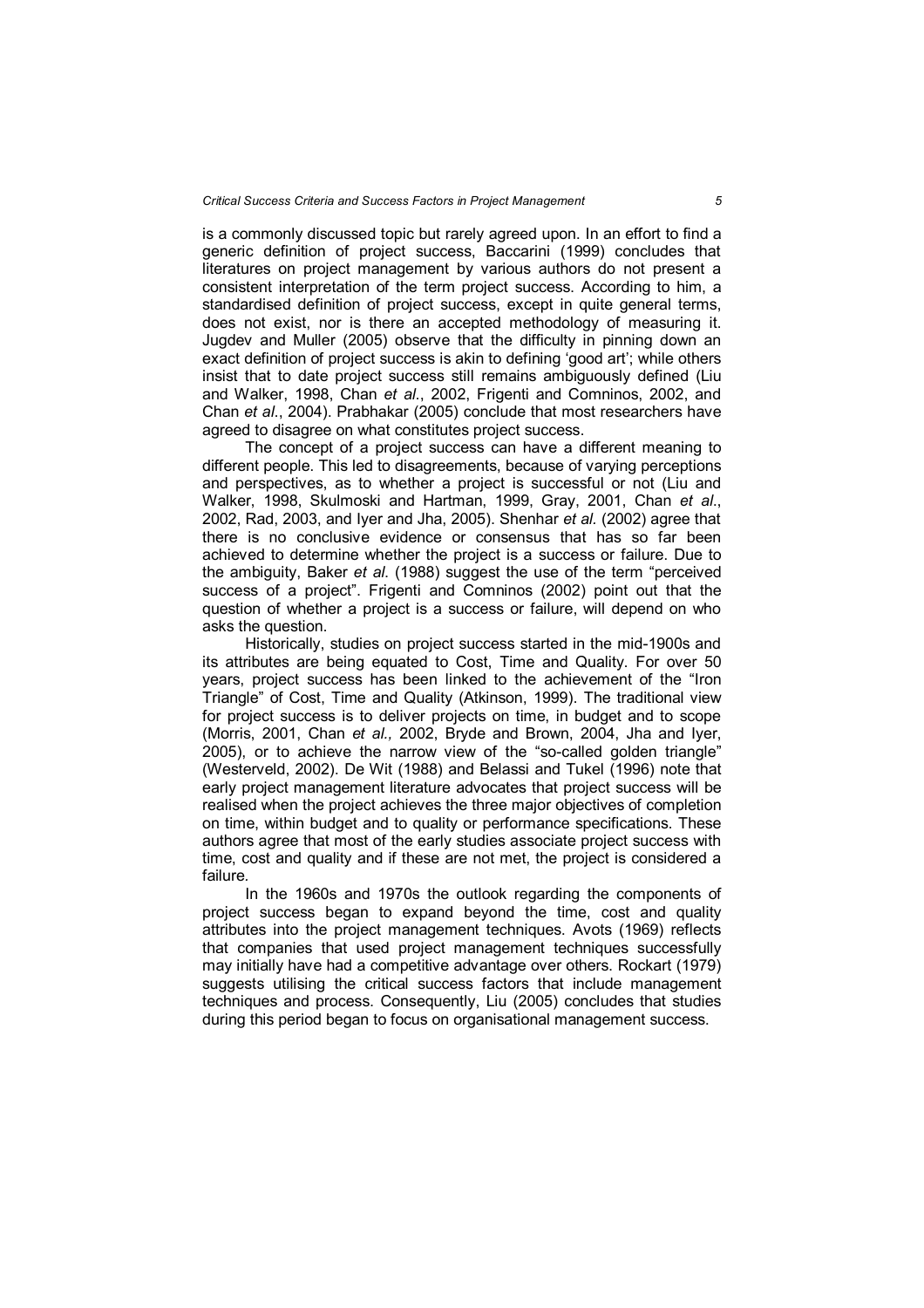is a commonly discussed topic but rarely agreed upon. In an effort to find a generic definition of project success, Baccarini (1999) concludes that literatures on project management by various authors do not present a consistent interpretation of the term project success. According to him, a standardised definition of project success, except in quite general terms, does not exist, nor is there an accepted methodology of measuring it. Jugdev and Muller (2005) observe that the difficulty in pinning down an exact definition of project success is akin to defining 'good art'; while others insist that to date project success still remains ambiguously defined (Liu and Walker, 1998, Chan *et al*., 2002, Frigenti and Comninos, 2002, and Chan *et al*., 2004). Prabhakar (2005) conclude that most researchers have agreed to disagree on what constitutes project success.

The concept of a project success can have a different meaning to different people. This led to disagreements, because of varying perceptions and perspectives, as to whether a project is successful or not (Liu and Walker, 1998, Skulmoski and Hartman, 1999, Gray, 2001, Chan *et al*., 2002, Rad, 2003, and Iyer and Jha, 2005). Shenhar *et al.* (2002) agree that there is no conclusive evidence or consensus that has so far been achieved to determine whether the project is a success or failure. Due to the ambiguity, Baker *et al*. (1988) suggest the use of the term "perceived success of a project". Frigenti and Comninos (2002) point out that the question of whether a project is a success or failure, will depend on who asks the question.

Historically, studies on project success started in the mid-1900s and its attributes are being equated to Cost, Time and Quality. For over 50 years, project success has been linked to the achievement of the "Iron Triangle" of Cost, Time and Quality (Atkinson, 1999). The traditional view for project success is to deliver projects on time, in budget and to scope (Morris, 2001, Chan *et al.,* 2002, Bryde and Brown, 2004, Jha and Iyer, 2005), or to achieve the narrow view of the "so-called golden triangle" (Westerveld, 2002). De Wit (1988) and Belassi and Tukel (1996) note that early project management literature advocates that project success will be realised when the project achieves the three major objectives of completion on time, within budget and to quality or performance specifications. These authors agree that most of the early studies associate project success with time, cost and quality and if these are not met, the project is considered a failure*.* 

In the 1960s and 1970s the outlook regarding the components of project success began to expand beyond the time, cost and quality attributes into the project management techniques. Avots (1969) reflects that companies that used project management techniques successfully may initially have had a competitive advantage over others. Rockart (1979) suggests utilising the critical success factors that include management techniques and process. Consequently, Liu (2005) concludes that studies during this period began to focus on organisational management success.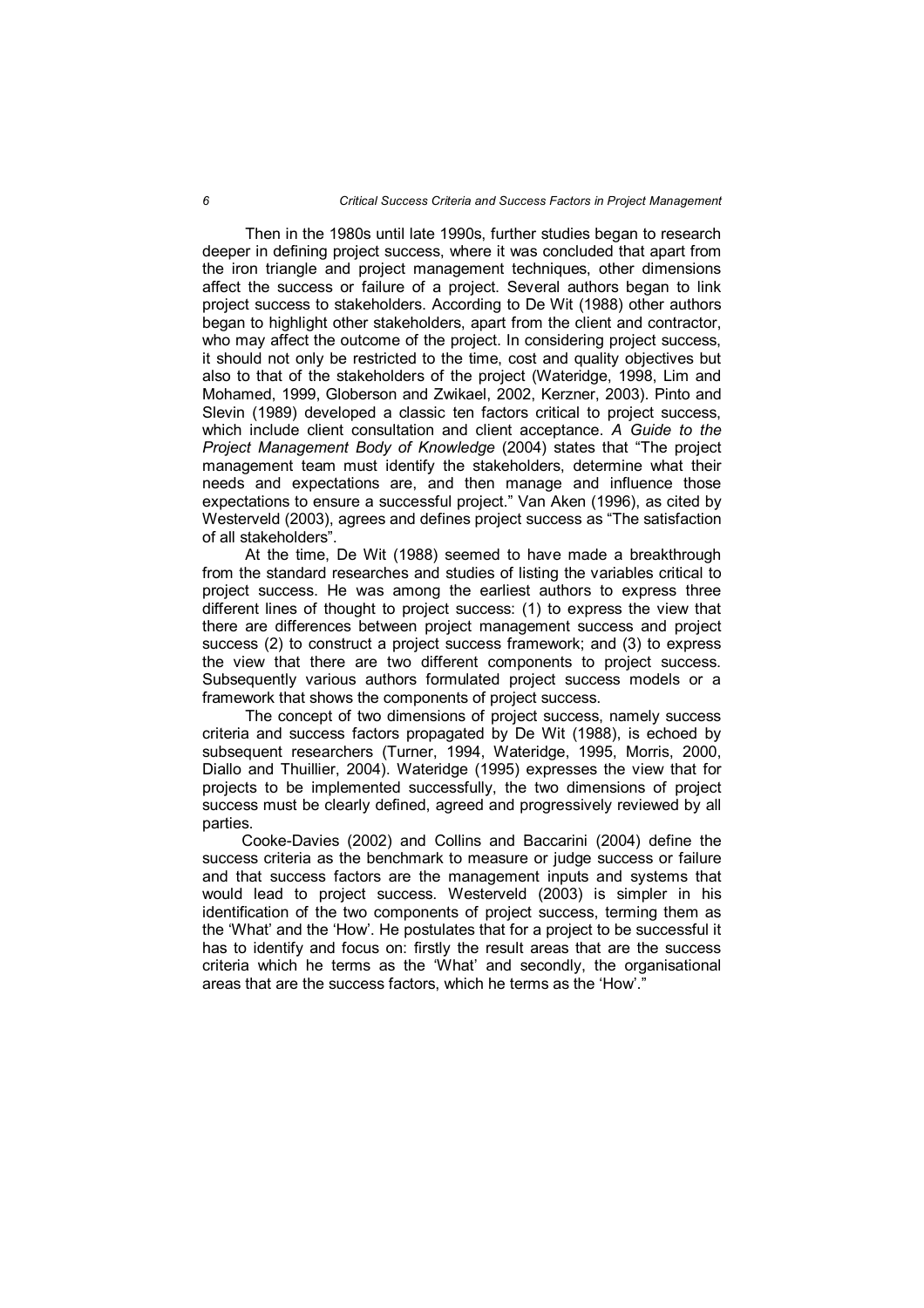Then in the 1980s until late 1990s, further studies began to research deeper in defining project success, where it was concluded that apart from the iron triangle and project management techniques, other dimensions affect the success or failure of a project. Several authors began to link project success to stakeholders. According to De Wit (1988) other authors began to highlight other stakeholders, apart from the client and contractor, who may affect the outcome of the project. In considering project success, it should not only be restricted to the time, cost and quality objectives but also to that of the stakeholders of the project (Wateridge, 1998, Lim and Mohamed, 1999, Globerson and Zwikael, 2002, Kerzner, 2003). Pinto and Slevin (1989) developed a classic ten factors critical to project success, which include client consultation and client acceptance. *A Guide to the Project Management Body of Knowledge* (2004) states that "The project management team must identify the stakeholders, determine what their needs and expectations are, and then manage and influence those expectations to ensure a successful project." Van Aken (1996), as cited by Westerveld (2003), agrees and defines project success as "The satisfaction of all stakeholders".

At the time, De Wit (1988) seemed to have made a breakthrough from the standard researches and studies of listing the variables critical to project success. He was among the earliest authors to express three different lines of thought to project success: (1) to express the view that there are differences between project management success and project success (2) to construct a project success framework; and (3) to express the view that there are two different components to project success. Subsequently various authors formulated project success models or a framework that shows the components of project success.

The concept of two dimensions of project success, namely success criteria and success factors propagated by De Wit (1988), is echoed by subsequent researchers (Turner, 1994, Wateridge, 1995, Morris, 2000, Diallo and Thuillier, 2004). Wateridge (1995) expresses the view that for projects to be implemented successfully, the two dimensions of project success must be clearly defined, agreed and progressively reviewed by all parties.

 Cooke-Davies (2002) and Collins and Baccarini (2004) define the success criteria as the benchmark to measure or judge success or failure and that success factors are the management inputs and systems that would lead to project success. Westerveld (2003) is simpler in his identification of the two components of project success, terming them as the 'What' and the 'How'. He postulates that for a project to be successful it has to identify and focus on: firstly the result areas that are the success criteria which he terms as the 'What' and secondly, the organisational areas that are the success factors, which he terms as the 'How'.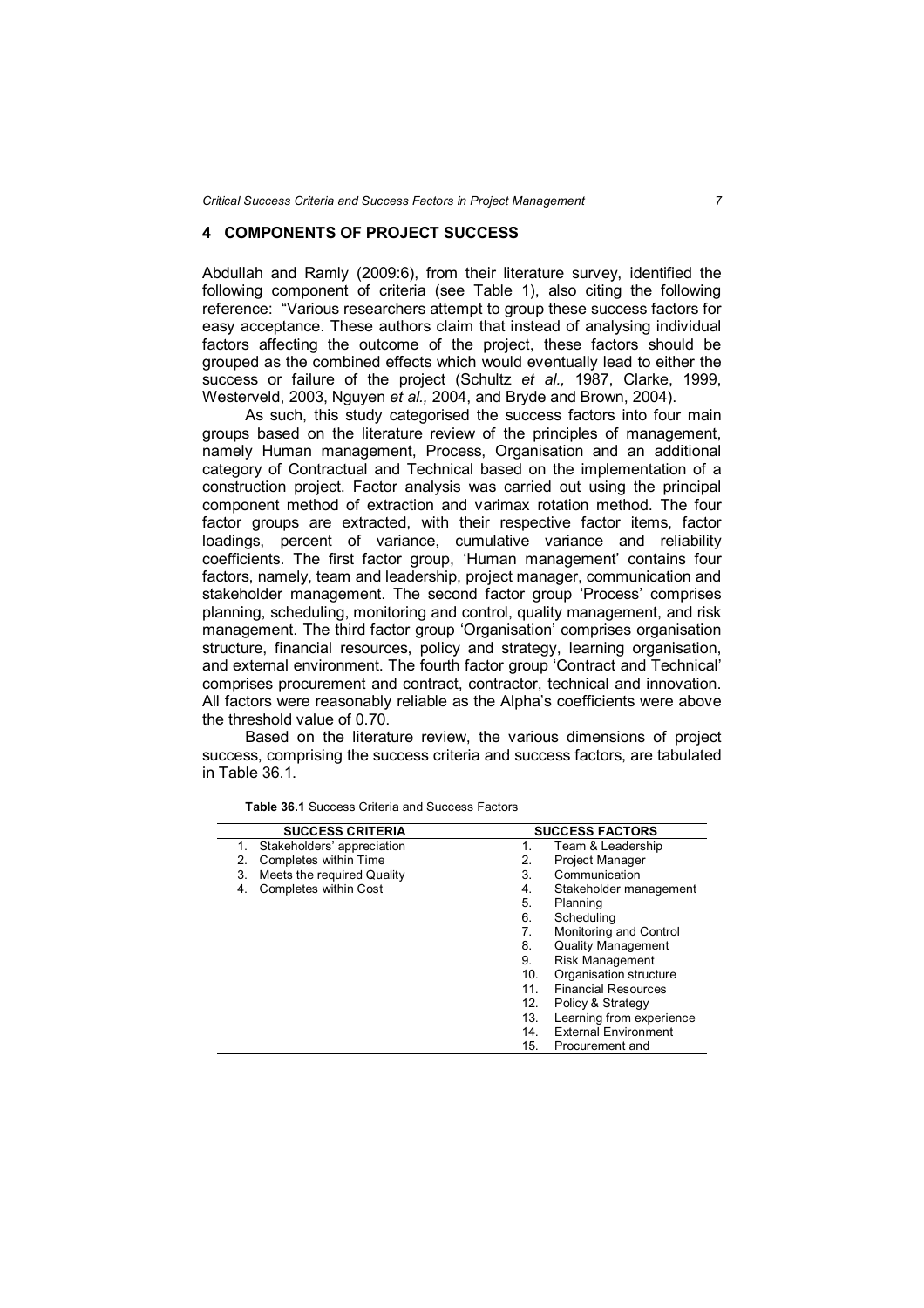# **4 COMPONENTS OF PROJECT SUCCESS**

Abdullah and Ramly (2009:6), from their literature survey, identified the following component of criteria (see Table 1), also citing the following reference: "Various researchers attempt to group these success factors for easy acceptance. These authors claim that instead of analysing individual factors affecting the outcome of the project, these factors should be grouped as the combined effects which would eventually lead to either the success or failure of the project (Schultz *et al.,* 1987, Clarke, 1999, Westerveld, 2003, Nguyen *et al.,* 2004, and Bryde and Brown, 2004).

As such, this study categorised the success factors into four main groups based on the literature review of the principles of management, namely Human management, Process, Organisation and an additional category of Contractual and Technical based on the implementation of a construction project. Factor analysis was carried out using the principal component method of extraction and varimax rotation method. The four factor groups are extracted, with their respective factor items, factor loadings, percent of variance, cumulative variance and reliability coefficients. The first factor group, 'Human management' contains four factors, namely, team and leadership, project manager, communication and stakeholder management. The second factor group 'Process' comprises planning, scheduling, monitoring and control, quality management, and risk management. The third factor group 'Organisation' comprises organisation structure, financial resources, policy and strategy, learning organisation, and external environment. The fourth factor group 'Contract and Technical' comprises procurement and contract, contractor, technical and innovation. All factors were reasonably reliable as the Alpha's coefficients were above the threshold value of 0.70.

Based on the literature review, the various dimensions of project success, comprising the success criteria and success factors, are tabulated in Table 36.1.

| <b>SUCCESS CRITERIA</b>          | <b>SUCCESS FACTORS</b>                    |
|----------------------------------|-------------------------------------------|
| Stakeholders' appreciation<br>1. | Team & Leadership<br>1.                   |
| Completes within Time<br>2.      | <b>Project Manager</b><br>2.              |
| Meets the required Quality<br>3. | Communication<br>3.                       |
| Completes within Cost<br>4.      | Stakeholder management<br>4.              |
|                                  | 5.<br>Planning                            |
|                                  | 6.<br>Scheduling                          |
|                                  | Monitoring and Control<br>7.              |
|                                  | <b>Quality Management</b><br>8.           |
|                                  | <b>Risk Management</b><br>9.              |
|                                  | Organisation structure<br>10 <sub>1</sub> |
|                                  | 11.<br><b>Financial Resources</b>         |
|                                  | Policy & Strategy<br>12.                  |
|                                  | Learning from experience<br>13.           |
|                                  | <b>External Environment</b><br>14.        |
|                                  | 15.<br>Procurement and                    |

**Table 36.1** Success Criteria and Success Factors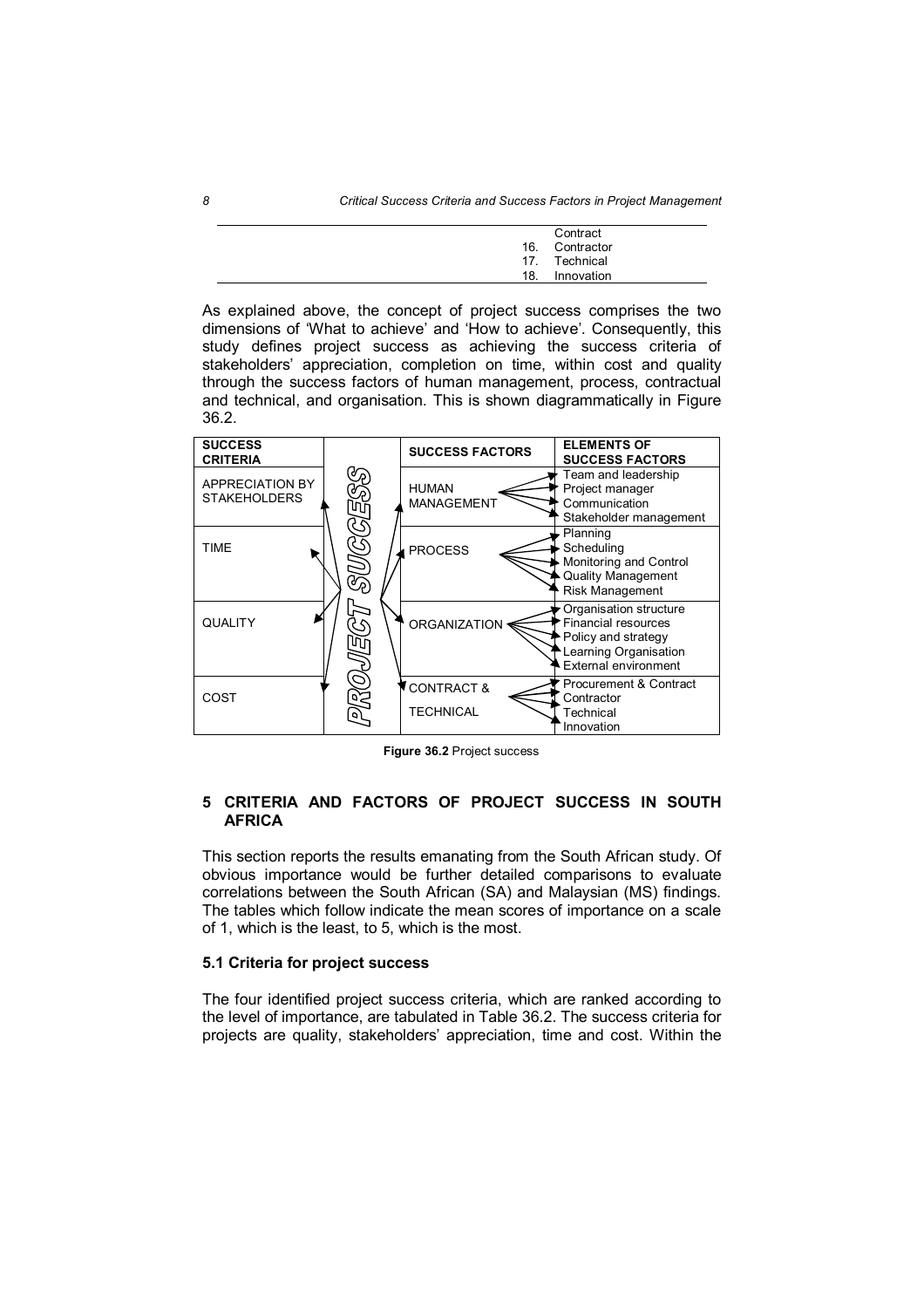|     | Contract       |
|-----|----------------|
|     | 16. Contractor |
|     | 17. Technical  |
| 18. | Innovation     |

As explained above, the concept of project success comprises the two dimensions of 'What to achieve' and 'How to achieve'. Consequently, this study defines project success as achieving the success criteria of stakeholders' appreciation, completion on time, within cost and quality through the success factors of human management, process, contractual and technical, and organisation. This is shown diagrammatically in Figure 36.2.



**Figure 36.2** Project success

### **5 CRITERIA AND FACTORS OF PROJECT SUCCESS IN SOUTH AFRICA**

This section reports the results emanating from the South African study. Of obvious importance would be further detailed comparisons to evaluate correlations between the South African (SA) and Malaysian (MS) findings. The tables which follow indicate the mean scores of importance on a scale of 1, which is the least, to 5, which is the most.

#### **5.1 Criteria for project success**

The four identified project success criteria, which are ranked according to the level of importance, are tabulated in Table 36.2. The success criteria for projects are quality, stakeholders' appreciation, time and cost. Within the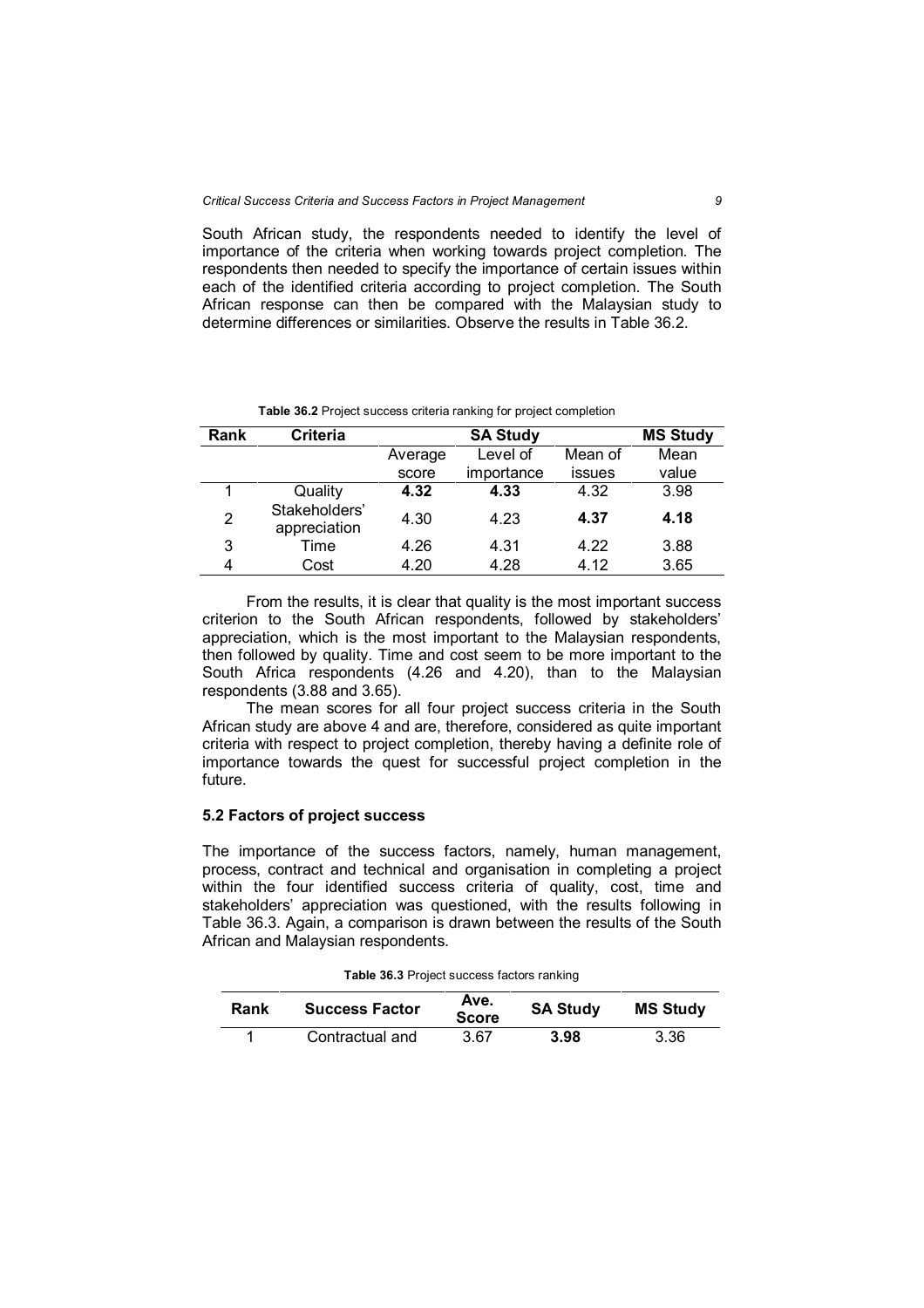South African study, the respondents needed to identify the level of importance of the criteria when working towards project completion. The respondents then needed to specify the importance of certain issues within each of the identified criteria according to project completion. The South African response can then be compared with the Malaysian study to determine differences or similarities. Observe the results in Table 36.2.

| Rank | <b>Criteria</b>               |         | <b>MS Study</b> |         |       |
|------|-------------------------------|---------|-----------------|---------|-------|
|      |                               | Average | Level of        | Mean of | Mean  |
|      |                               | score   | importance      | issues  | value |
|      | Quality                       | 4.32    | 4.33            | 4.32    | 3.98  |
| 2    | Stakeholders'<br>appreciation | 4.30    | 4.23            | 4.37    | 4.18  |
| 3    | Time                          | 4.26    | 4.31            | 4.22    | 3.88  |
| 4    | Cost                          | 4.20    | 4.28            | 4.12    | 3.65  |

**Table 36.2** Project success criteria ranking for project completion

From the results, it is clear that quality is the most important success criterion to the South African respondents, followed by stakeholders' appreciation, which is the most important to the Malaysian respondents, then followed by quality. Time and cost seem to be more important to the South Africa respondents (4.26 and 4.20), than to the Malaysian respondents (3.88 and 3.65).

The mean scores for all four project success criteria in the South African study are above 4 and are, therefore, considered as quite important criteria with respect to project completion, thereby having a definite role of importance towards the quest for successful project completion in the future.

### **5.2 Factors of project success**

The importance of the success factors, namely, human management, process, contract and technical and organisation in completing a project within the four identified success criteria of quality, cost, time and stakeholders' appreciation was questioned, with the results following in Table 36.3. Again, a comparison is drawn between the results of the South African and Malaysian respondents.

| Rank | <b>Success Factor</b> | Ave.<br><b>Score</b> | <b>SA Study</b> | <b>MS Study</b> |
|------|-----------------------|----------------------|-----------------|-----------------|
|      | Contractual and       | 3.67                 | 3.98            | 3.36            |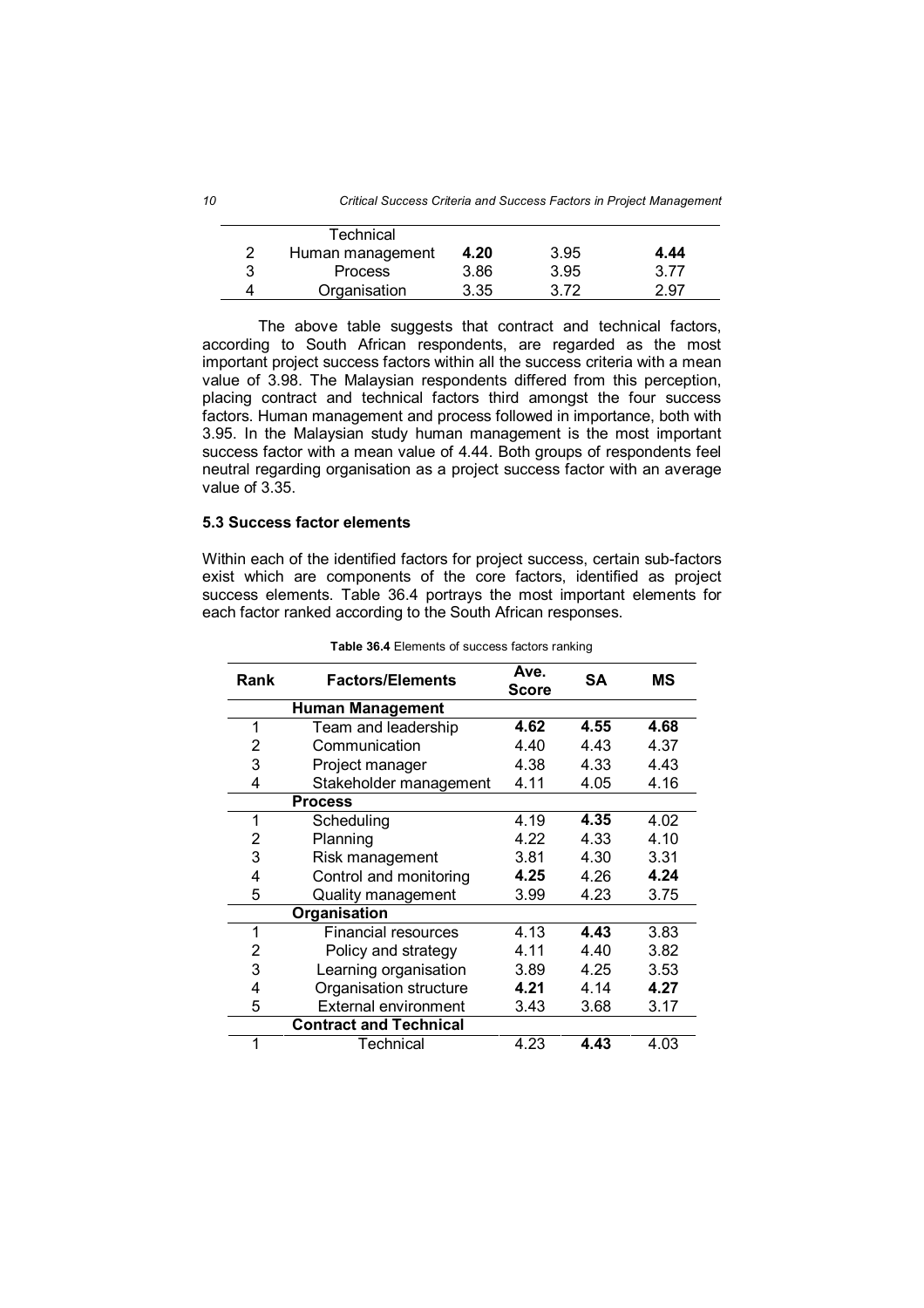| <b>Technical</b> |      |      |      |
|------------------|------|------|------|
| Human management | 4.20 | 3.95 | 4.44 |
| <b>Process</b>   | 3.86 | 3.95 | 3.77 |
| Organisation     | 3.35 | 3.72 | 2.97 |

The above table suggests that contract and technical factors, according to South African respondents, are regarded as the most important project success factors within all the success criteria with a mean value of 3.98. The Malaysian respondents differed from this perception, placing contract and technical factors third amongst the four success factors. Human management and process followed in importance, both with 3.95. In the Malaysian study human management is the most important success factor with a mean value of 4.44. Both groups of respondents feel neutral regarding organisation as a project success factor with an average value of 3.35.

#### **5.3 Success factor elements**

Within each of the identified factors for project success, certain sub-factors exist which are components of the core factors, identified as project success elements. Table 36.4 portrays the most important elements for each factor ranked according to the South African responses.

| Rank | <b>Factors/Elements</b>       | Ave.<br><b>Score</b> | <b>SA</b> | МS   |
|------|-------------------------------|----------------------|-----------|------|
|      | <b>Human Management</b>       |                      |           |      |
| 1    | Team and leadership           | 4.62                 | 4.55      | 4.68 |
| 2    | Communication                 | 4.40                 | 4.43      | 4.37 |
| 3    | Project manager               | 4.38                 | 4.33      | 4.43 |
| 4    | Stakeholder management        | 4.11                 | 4.05      | 4.16 |
|      | <b>Process</b>                |                      |           |      |
| 1    | Scheduling                    | 4.19                 | 4.35      | 4.02 |
| 2    | Planning                      | 4.22                 | 4.33      | 4.10 |
| 3    | Risk management               | 3.81                 | 4.30      | 3.31 |
| 4    | Control and monitoring        | 4.25                 | 4.26      | 4.24 |
| 5    | Quality management            | 3.99                 | 4.23      | 3.75 |
|      | Organisation                  |                      |           |      |
| 1    | Financial resources           | 4.13                 | 4.43      | 3.83 |
| 2    | Policy and strategy           |                      | 4.40      | 3.82 |
| 3    | Learning organisation         | 3.89                 | 4.25      | 3.53 |
| 4    | Organisation structure        | 4.21                 | 4.14      | 4.27 |
| 5    | <b>External environment</b>   | 3.43                 | 3.68      | 3.17 |
|      | <b>Contract and Technical</b> |                      |           |      |
| 1    | Technical                     | 4.23                 | 4.43      | 4.03 |

|  |  | Table 36.4 Elements of success factors ranking |  |  |  |  |
|--|--|------------------------------------------------|--|--|--|--|
|--|--|------------------------------------------------|--|--|--|--|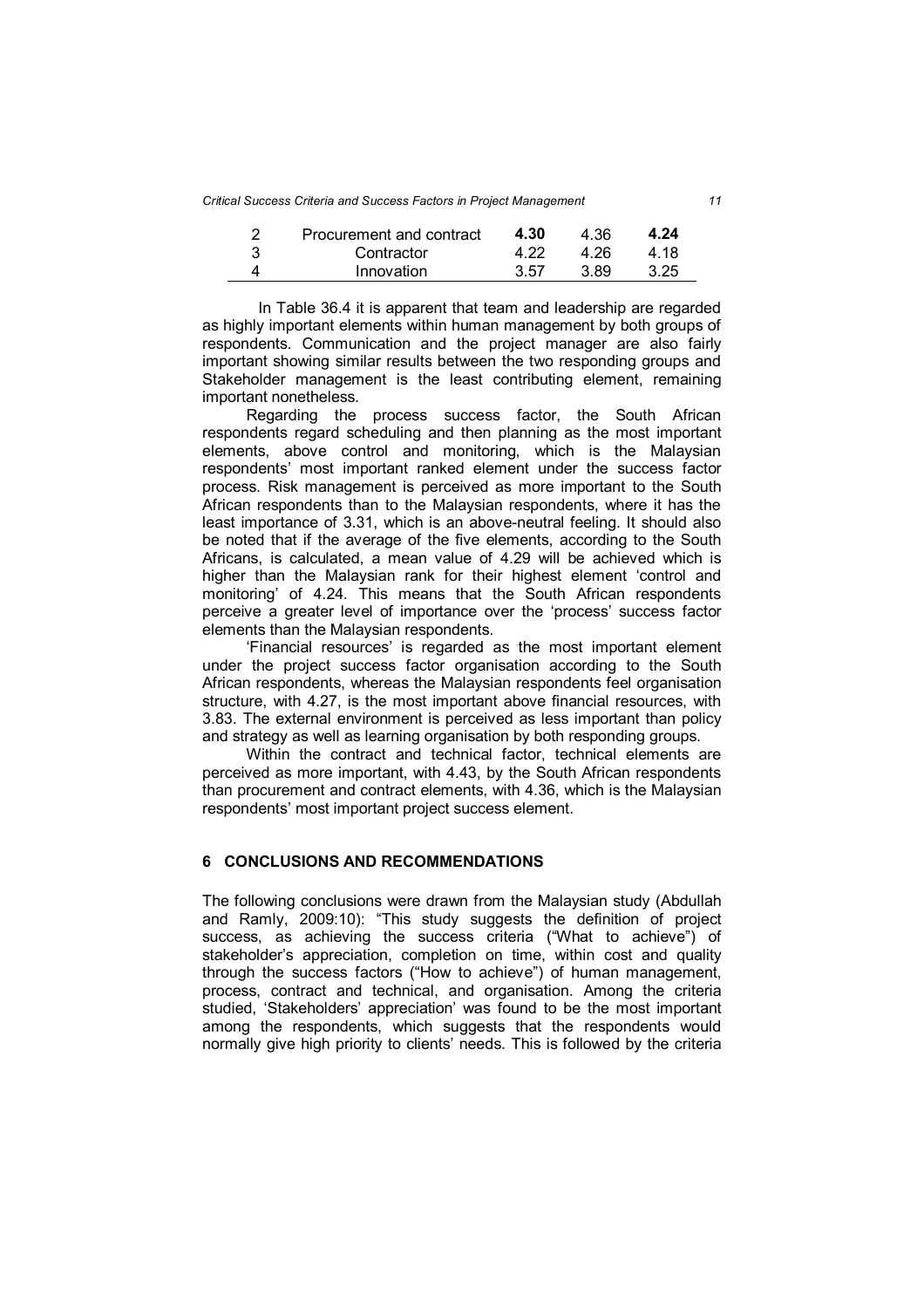*Critical Success Criteria and Success Factors in Project Management 11*

| ົ | Procurement and contract | 4.30 | 4.36 | 4.24 |
|---|--------------------------|------|------|------|
|   | Contractor               | 4 22 | 4.26 | 4 18 |
|   | Innovation               | 3.57 | 3.89 | 3.25 |

In Table 36.4 it is apparent that team and leadership are regarded as highly important elements within human management by both groups of respondents. Communication and the project manager are also fairly important showing similar results between the two responding groups and Stakeholder management is the least contributing element, remaining important nonetheless.

Regarding the process success factor, the South African respondents regard scheduling and then planning as the most important elements, above control and monitoring, which is the Malaysian respondents' most important ranked element under the success factor process. Risk management is perceived as more important to the South African respondents than to the Malaysian respondents, where it has the least importance of 3.31, which is an above-neutral feeling. It should also be noted that if the average of the five elements, according to the South Africans, is calculated, a mean value of 4.29 will be achieved which is higher than the Malaysian rank for their highest element 'control and monitoring' of 4.24. This means that the South African respondents perceive a greater level of importance over the 'process' success factor elements than the Malaysian respondents.

'Financial resources' is regarded as the most important element under the project success factor organisation according to the South African respondents, whereas the Malaysian respondents feel organisation structure, with 4.27, is the most important above financial resources, with 3.83. The external environment is perceived as less important than policy and strategy as well as learning organisation by both responding groups.

Within the contract and technical factor, technical elements are perceived as more important, with 4.43, by the South African respondents than procurement and contract elements, with 4.36, which is the Malaysian respondents' most important project success element.

# **6 CONCLUSIONS AND RECOMMENDATIONS**

The following conclusions were drawn from the Malaysian study (Abdullah and Ramly, 2009:10): "This study suggests the definition of project success, as achieving the success criteria ("What to achieve") of stakeholder's appreciation, completion on time, within cost and quality through the success factors ("How to achieve") of human management, process, contract and technical, and organisation. Among the criteria studied, 'Stakeholders' appreciation' was found to be the most important among the respondents, which suggests that the respondents would normally give high priority to clients' needs. This is followed by the criteria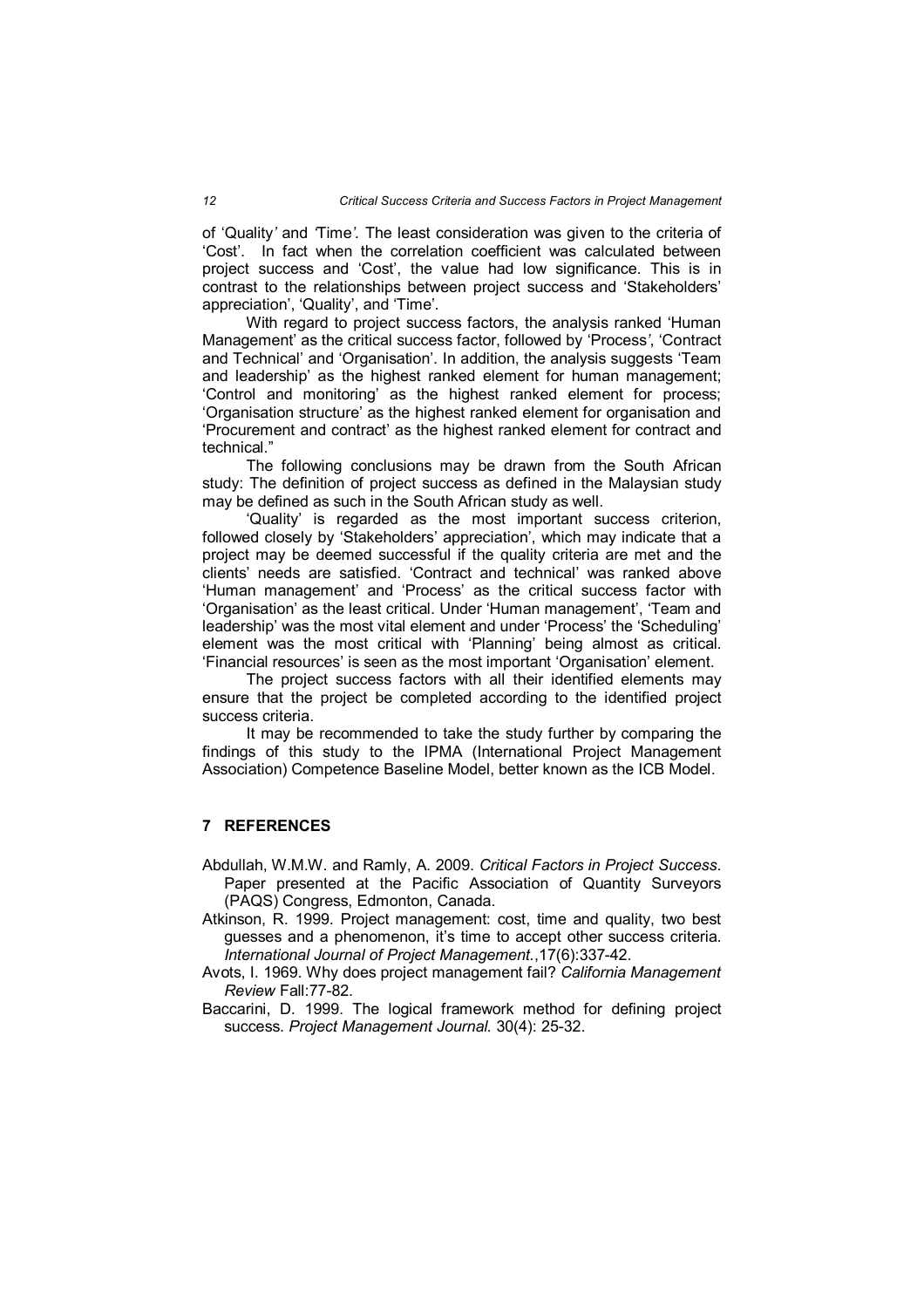of 'Quality*'* and *'*Time*'.* The least consideration was given to the criteria of 'Cost'. In fact when the correlation coefficient was calculated between project success and 'Cost', the value had low significance. This is in contrast to the relationships between project success and 'Stakeholders' appreciation', 'Quality', and 'Time'.

With regard to project success factors, the analysis ranked 'Human Management' as the critical success factor, followed by 'Process*'*, 'Contract and Technical' and 'Organisation'. In addition, the analysis suggests 'Team and leadership' as the highest ranked element for human management; 'Control and monitoring' as the highest ranked element for process; 'Organisation structure' as the highest ranked element for organisation and 'Procurement and contract' as the highest ranked element for contract and technical."

The following conclusions may be drawn from the South African study: The definition of project success as defined in the Malaysian study may be defined as such in the South African study as well.

'Quality' is regarded as the most important success criterion, followed closely by 'Stakeholders' appreciation', which may indicate that a project may be deemed successful if the quality criteria are met and the clients' needs are satisfied. 'Contract and technical' was ranked above 'Human management' and 'Process' as the critical success factor with 'Organisation' as the least critical. Under 'Human management', 'Team and leadership' was the most vital element and under 'Process' the 'Scheduling' element was the most critical with 'Planning' being almost as critical. 'Financial resources' is seen as the most important 'Organisation' element.

The project success factors with all their identified elements may ensure that the project be completed according to the identified project success criteria.

It may be recommended to take the study further by comparing the findings of this study to the IPMA (International Project Management Association) Competence Baseline Model, better known as the ICB Model.

## **7 REFERENCES**

- Abdullah, W.M.W. and Ramly, A. 2009. *Critical Factors in Project Success*. Paper presented at the Pacific Association of Quantity Surveyors (PAQS) Congress, Edmonton, Canada.
- Atkinson, R. 1999. Project management: cost, time and quality, two best guesses and a phenomenon, it's time to accept other success criteria. *International Journal of Project Management.*,17(6):337-42.
- Avots, I. 1969. Why does project management fail? *California Management Review* Fall:77-82.
- Baccarini, D. 1999. The logical framework method for defining project success. *Project Management Journal.* 30(4): 25-32.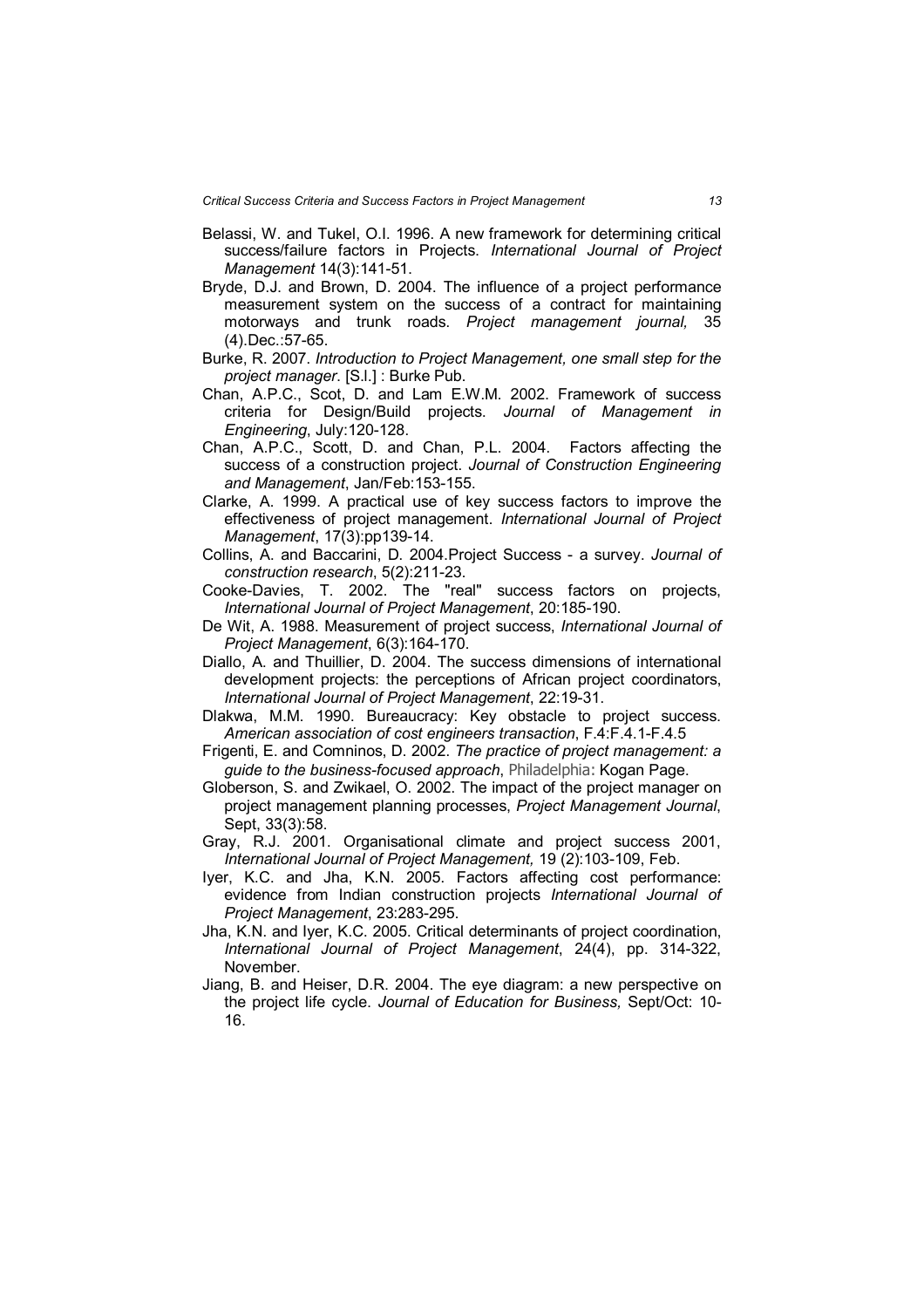- Belassi, W. and Tukel, O.I. 1996. A new framework for determining critical success/failure factors in Projects. *International Journal of Project Management* 14(3):141-51.
- Bryde, D.J. and Brown, D. 2004. The influence of a project performance measurement system on the success of a contract for maintaining motorways and trunk roads. *Project management journal,* 35 (4).Dec.:57-65.
- Burke, R. 2007. *Introduction to Project Management, one small step for the project manager*. [S.l.] : Burke Pub.
- Chan, A.P.C., Scot, D. and Lam E.W.M. 2002. Framework of success criteria for Design/Build projects. *Journal of Management in Engineering*, July:120-128.
- Chan, A.P.C., Scott, D. and Chan, P.L. 2004. Factors affecting the success of a construction project. *Journal of Construction Engineering and Management*, Jan/Feb:153-155.
- Clarke, A. 1999. A practical use of key success factors to improve the effectiveness of project management. *International Journal of Project Management*, 17(3):pp139-14.
- Collins, A. and Baccarini, D. 2004.Project Success a survey. *Journal of construction research*, 5(2):211-23.
- Cooke-Davies, T. 2002. The "real" success factors on projects, *International Journal of Project Management*, 20:185-190.
- De Wit, A. 1988. Measurement of project success, *International Journal of Project Management*, 6(3):164-170.
- Diallo, A. and Thuillier, D. 2004. The success dimensions of international development projects: the perceptions of African project coordinators, *International Journal of Project Management*, 22:19-31.
- Dlakwa, M.M. 1990. Bureaucracy: Key obstacle to project success. *American association of cost engineers transaction*, F.4:F.4.1-F.4.5
- Frigenti, E. and Comninos, D. 2002. *The practice of project management: a guide to the business-focused approach*, Philadelphia: Kogan Page.
- Globerson, S. and Zwikael, O. 2002. The impact of the project manager on project management planning processes, *Project Management Journal*, Sept, 33(3):58.
- Gray, R.J. 2001. Organisational climate and project success 2001, *International Journal of Project Management,* 19 (2):103-109, Feb.
- Iyer, K.C. and Jha, K.N. 2005. Factors affecting cost performance: evidence from Indian construction projects *International Journal of Project Management*, 23:283-295.
- Jha, K.N. and Iyer, K.C. 2005. Critical determinants of project coordination, *International Journal of Project Management*, 24(4), pp. 314-322, November.
- Jiang, B. and Heiser, D.R. 2004. The eye diagram: a new perspective on the project life cycle. *Journal of Education for Business,* Sept/Oct: 10- 16.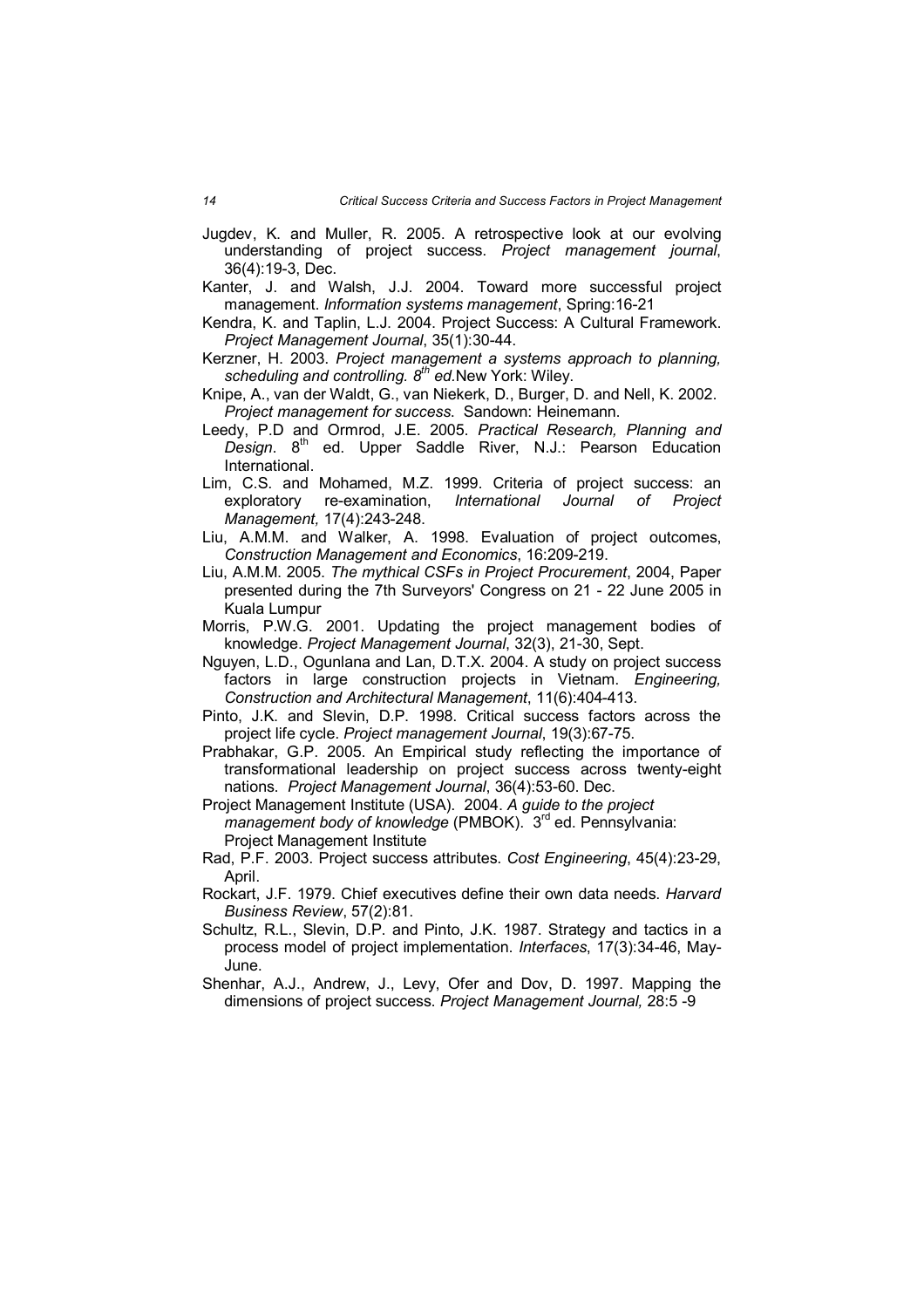- Jugdev, K. and Muller, R. 2005. A retrospective look at our evolving understanding of project success. *Project management journal*, 36(4):19-3, Dec.
- Kanter, J. and Walsh, J.J. 2004. Toward more successful project management. *Information systems management*, Spring:16-21
- Kendra, K. and Taplin, L.J. 2004. Project Success: A Cultural Framework. *Project Management Journal*, 35(1):30-44.
- Kerzner, H. 2003. *Project management a systems approach to planning, scheduling and controlling. 8th ed.*New York: Wiley.
- Knipe, A., van der Waldt, G., van Niekerk, D., Burger, D. and Nell, K. 2002. *Project management for success*. Sandown: Heinemann.
- Leedy, P.D and Ormrod, J.E. 2005. *Practical Research, Planning and*  Design. 8<sup>th</sup> ed. Upper Saddle River, N.J.: Pearson Education International.
- Lim, C.S. and Mohamed, M.Z. 1999. Criteria of project success: an exploratory re-examination, *International Journal of Project Management,* 17(4):243-248.
- Liu, A.M.M. and Walker, A. 1998. Evaluation of project outcomes, *Construction Management and Economics*, 16:209-219.
- Liu, A.M.M. 2005. *The mythical CSFs in Project Procurement*, 2004, Paper presented during the 7th Surveyors' Congress on 21 - 22 June 2005 in Kuala Lumpur
- Morris, P.W.G. 2001. Updating the project management bodies of knowledge. *Project Management Journal*, 32(3), 21-30, Sept.
- Nguyen, L.D., Ogunlana and Lan, D.T.X. 2004. A study on project success factors in large construction projects in Vietnam. *Engineering, Construction and Architectural Management*, 11(6):404-413.
- Pinto, J.K. and Slevin, D.P. 1998. Critical success factors across the project life cycle. *Project management Journal*, 19(3):67-75.
- Prabhakar, G.P. 2005. An Empirical study reflecting the importance of transformational leadership on project success across twenty-eight nations. *Project Management Journal*, 36(4):53-60. Dec.
- Project Management Institute (USA). 2004. *A guide to the project management body of knowledge* (PMBOK). 3 rd ed. Pennsylvania: Project Management Institute
- Rad, P.F. 2003. Project success attributes. *Cost Engineering*, 45(4):23-29, April.
- Rockart, J.F. 1979. Chief executives define their own data needs. *Harvard Business Review*, 57(2):81.
- Schultz, R.L., Slevin, D.P. and Pinto, J.K. 1987. Strategy and tactics in a process model of project implementation. *Interfaces*, 17(3):34-46, May-June.
- Shenhar, A.J., Andrew, J., Levy, Ofer and Dov, D. 1997. Mapping the dimensions of project success. *Project Management Journal,* 28:5 -9